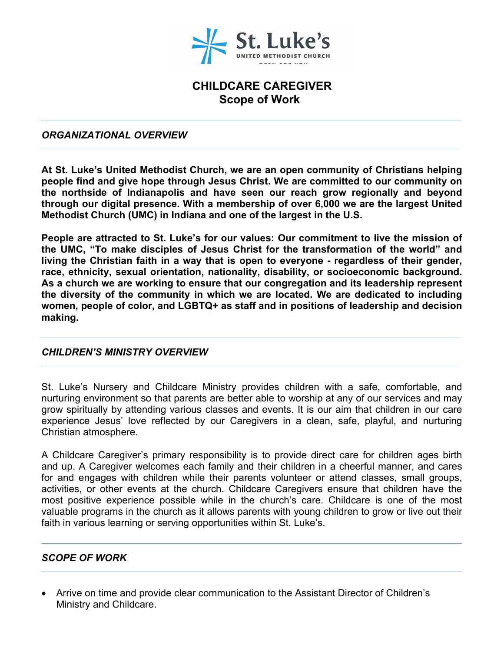

# **CHILDCARE CAREGIVER Scope of Work**

#### *ORGANIZATIONAL OVERVIEW*

**At St. Luke's United Methodist Church, we are an open community of Christians helping people find and give hope through Jesus Christ. We are committed to our community on the northside of Indianapolis and have seen our reach grow regionally and beyond through our digital presence. With a membership of over 6,000 we are the largest United Methodist Church (UMC) in Indiana and one of the largest in the U.S.**

**People are attracted to St. Luke's for our values: Our commitment to live the mission of the UMC, "To make disciples of Jesus Christ for the transformation of the world" and living the Christian faith in a way that is open to everyone - regardless of their gender, race, ethnicity, sexual orientation, nationality, disability, or socioeconomic background. As a church we are working to ensure that our congregation and its leadership represent the diversity of the community in which we are located. We are dedicated to including women, people of color, and LGBTQ+ as staff and in positions of leadership and decision making.**

#### *CHILDREN'S MINISTRY OVERVIEW*

St. Luke's Nursery and Childcare Ministry provides children with a safe, comfortable, and nurturing environment so that parents are better able to worship at any of our services and may grow spiritually by attending various classes and events. It is our aim that children in our care experience Jesus' love reflected by our Caregivers in a clean, safe, playful, and nurturing Christian atmosphere.

A Childcare Caregiver's primary responsibility is to provide direct care for children ages birth and up. A Caregiver welcomes each family and their children in a cheerful manner, and cares for and engages with children while their parents volunteer or attend classes, small groups, activities, or other events at the church. Childcare Caregivers ensure that children have the most positive experience possible while in the church's care. Childcare is one of the most valuable programs in the church as it allows parents with young children to grow or live out their faith in various learning or serving opportunities within St. Luke's.

## *SCOPE OF WORK*

 Arrive on time and provide clear communication to the Assistant Director of Children's Ministry and Childcare.